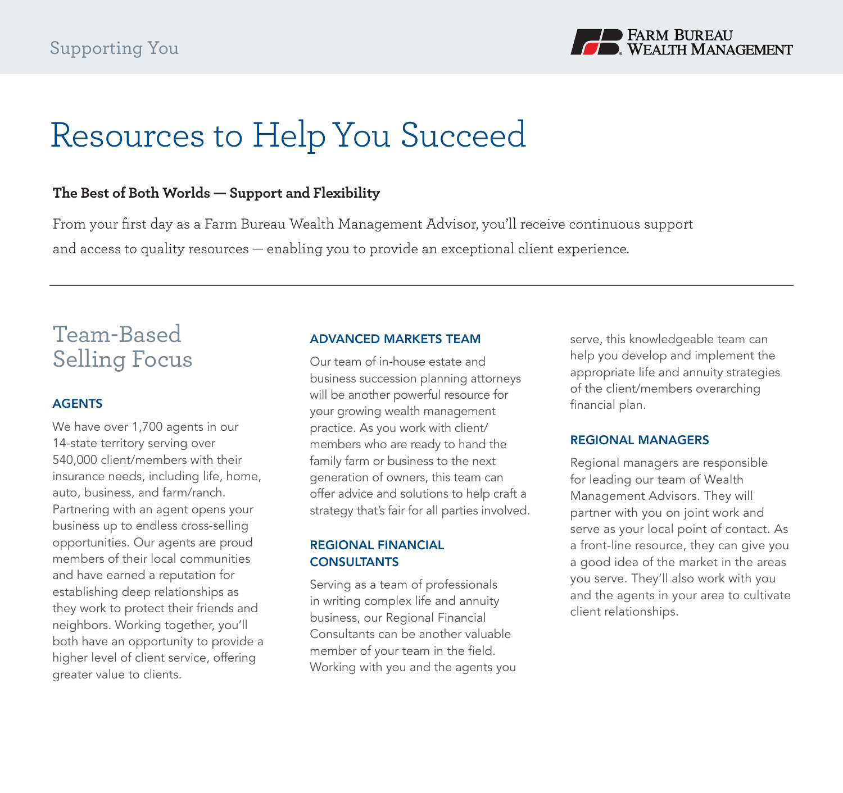

# Resources to Help You Succeed

# **The Best of Both Worlds — Support and Flexibility**

From your first day as a Farm Bureau Wealth Management Advisor, you'll receive continuous support and access to quality resources — enabling you to provide an exceptional client experience.

# Team-Based Selling Focus

### **AGENTS**

We have over 1,700 agents in our 14-state territory serving over 540,000 client/members with their insurance needs, including life, home, auto, business, and farm/ranch. Partnering with an agent opens your business up to endless cross-selling opportunities. Our agents are proud members of their local communities and have earned a reputation for establishing deep relationships as they work to protect their friends and neighbors. Working together, you'll both have an opportunity to provide a higher level of client service, offering greater value to clients.

#### ADVANCED MARKETS TEAM

Our team of in-house estate and business succession planning attorneys will be another powerful resource for your growing wealth management practice. As you work with client/ members who are ready to hand the family farm or business to the next generation of owners, this team can offer advice and solutions to help craft a strategy that's fair for all parties involved.

## REGIONAL FINANCIAL **CONSULTANTS**

Serving as a team of professionals in writing complex life and annuity business, our Regional Financial Consultants can be another valuable member of your team in the field. Working with you and the agents you serve, this knowledgeable team can help you develop and implement the appropriate life and annuity strategies of the client/members overarching financial plan.

#### REGIONAL MANAGERS

Regional managers are responsible for leading our team of Wealth Management Advisors. They will partner with you on joint work and serve as your local point of contact. As a front-line resource, they can give you a good idea of the market in the areas you serve. They'll also work with you and the agents in your area to cultivate client relationships.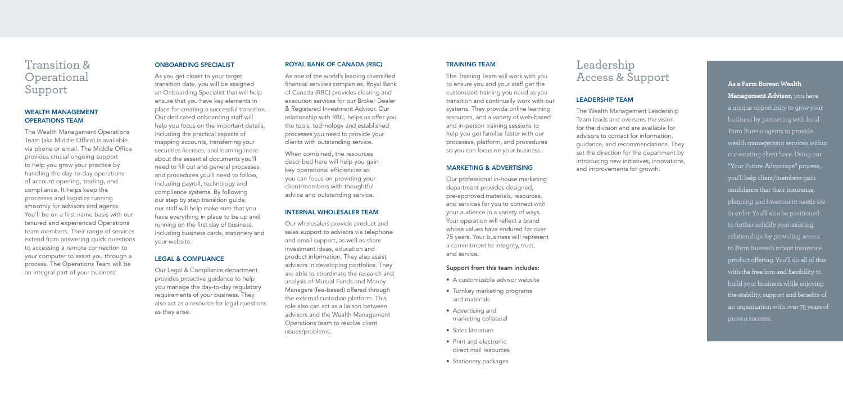# Transition & **Operational** Support

# WEALTH MANAGEMENT OPERATIONS TEAM

The Wealth Management Operations Team (aka Middle Office) is available via phone or email. The Middle Office provides crucial ongoing support to help you grow your practice by handling the day-to-day operations of account opening, trading, and compliance. It helps keep the processes and logistics running smoothly for advisors and agents. You'll be on a first name basis with our tenured and experienced Operations team members. Their range of services extend from answering quick questions to accessing a remote connection to your computer to assist you through a process. The Operations Team will be an integral part of your business.

# ONBOARDING SPECIALIST

As you get closer to your target transition date, you will be assigned an Onboarding Specialist that will help ensure that you have key elements in place for creating a successful transition. Our dedicated onboarding staff will help you focus on the important details, including the practical aspects of mapping accounts, transferring your securities licenses, and learning more about the essential documents you'll need to fill out and general processes and procedures you'll need to follow, including payroll, technology and compliance systems. By following our step by step transition guide, our staff will help make sure that you have everything in place to be up and running on the first day of business, including business cards, stationery and your website.

#### LEGAL & COMPLIANCE

Our Legal & Compliance department provides proactive guidance to help you manage the day-to-day regulatory requirements of your business. They also act as a resource for legal questions as they arise.

## ROYAL BANK OF CANADA (RBC)

As one of the world's leading diversified financial services companies, Royal Bank of Canada (RBC) provides clearing and execution services for our Broker Dealer & Registered Investment Advisor. Our relationship with RBC, helps us offer you the tools, technology and established processes you need to provide your clients with outstanding service.

When combined, the resources described here will help you gain key operational efficiencies so you can focus on providing your client/members with thoughtful advice and outstanding service.

## INTERNAL WHOLESALER TEAM

Our wholesalers provide product and sales support to advisors via telephone and email support, as well as share investment ideas, education and product information. They also assist advisors in developing portfolios. They are able to coordinate the research and analysis of Mutual Funds and Money Managers (fee-based) offered through the external custodian platform. This role also can act as a liaison between advisors and the Wealth Management Operations team to resolve client issues/problems.

# TRAINING TEAM

The Training Team will work with you to ensure you and your staff get the customized training you need as you transition and continually work with our systems. They provide online learning resources, and a variety of web-based and in-person training sessions to help you get familiar faster with our processes, platform, and procedures so you can focus on your business.

#### MARKETING & ADVERTISING

Our professional in-house marketing department provides designed, pre-approved materials, resources, and services for you to connect with your audience in a variety of ways. Your operation will reflect a brand whose values have endured for over 75 years. Your business will represent a commitment to integrity, trust, and service.

#### Support from this team includes:

- A customizable advisor website
- Turnkey marketing programs and materials
- Advertising and marketing collateral
- Sales literature
- Print and electronic direct mail resources
- Stationery packages

**As a Farm Bureau Wealth Management Advisor,** you have a unique opportunity to grow your business by partnering with local Farm Bureau agents to provide wealth management services within our existing client base. Using our "Your Future Advantage" process, you'll help client/members gain confidence that their insurance, planning and investment needs are in order. You'll also be positioned to further solidify your existing relationships by providing access to Farm Bureau's robust insurance product offering. You'll do all of this with the freedom and flexibility to build your business while enjoying the stability, support and benefits of an organization with over 75 years of proven success.

# Leadership Access & Support

# LEADERSHIP TEAM

The Wealth Management Leadership Team leads and oversees the vision for the division and are available for advisors to contact for information, guidance, and recommendations. They set the direction for the department by introducing new initiatives, innovations, and improvements for growth.